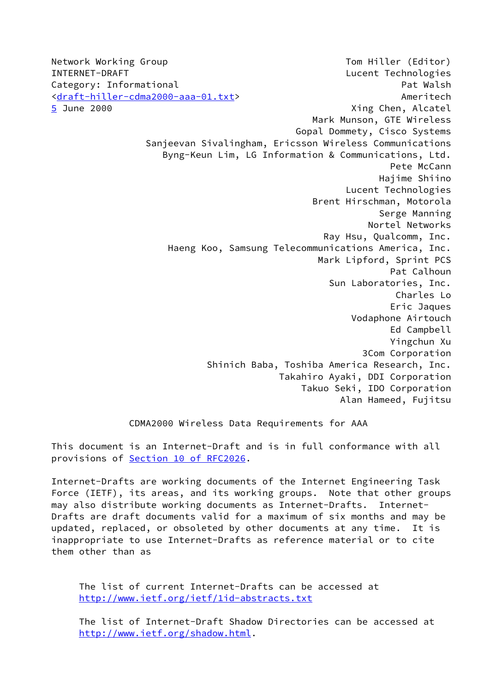<span id="page-0-0"></span>Network Working Group Tom Hiller (Editor) INTERNET-DRAFT **Lucent Technologies** Category: Informational example of the Category: Informational example of the Pat Walsh [<draft-hiller-cdma2000-aaa-01.txt](https://datatracker.ietf.org/doc/pdf/draft-hiller-cdma2000-aaa-01.txt)> Ameritech [5](#page-0-0) June 2000 Xing Chen, Alcatel Mark Munson, GTE Wireless Gopal Dommety, Cisco Systems Sanjeevan Sivalingham, Ericsson Wireless Communications Byng-Keun Lim, LG Information & Communications, Ltd. Pete McCann Hajime Shiino Lucent Technologies Brent Hirschman, Motorola Serge Manning Nortel Networks Ray Hsu, Qualcomm, Inc. Haeng Koo, Samsung Telecommunications America, Inc. Mark Lipford, Sprint PCS Pat Calhoun Sun Laboratories, Inc. Charles Lo Eric Jaques Vodaphone Airtouch Ed Campbell Yingchun Xu 3Com Corporation Shinich Baba, Toshiba America Research, Inc. Takahiro Ayaki, DDI Corporation Takuo Seki, IDO Corporation Alan Hameed, Fujitsu

CDMA2000 Wireless Data Requirements for AAA

This document is an Internet-Draft and is in full conformance with all provisions of Section [10 of RFC2026.](https://datatracker.ietf.org/doc/pdf/rfc2026#section-10)

Internet-Drafts are working documents of the Internet Engineering Task Force (IETF), its areas, and its working groups. Note that other groups may also distribute working documents as Internet-Drafts. Internet-Drafts are draft documents valid for a maximum of six months and may be updated, replaced, or obsoleted by other documents at any time. It is inappropriate to use Internet-Drafts as reference material or to cite them other than as

 The list of current Internet-Drafts can be accessed at <http://www.ietf.org/ietf/1id-abstracts.txt>

 The list of Internet-Draft Shadow Directories can be accessed at <http://www.ietf.org/shadow.html>.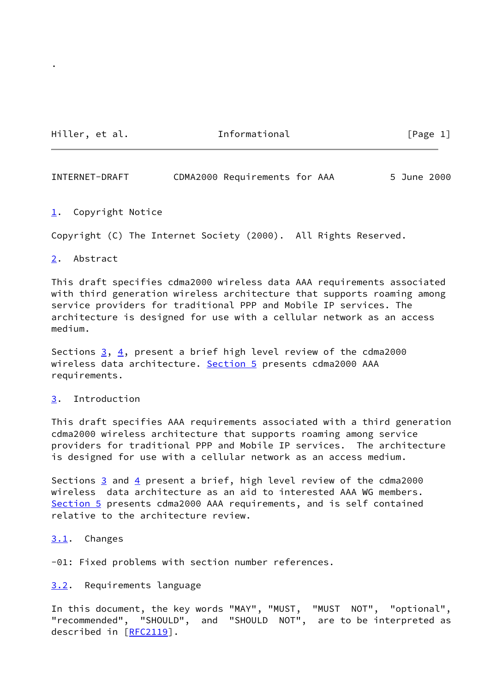Hiller, et al. The Informational The Leage 1]

.

INTERNET-DRAFT CDMA2000 Requirements for AAA 5 June 2000

<span id="page-1-0"></span>[1](#page-1-0). Copyright Notice

Copyright (C) The Internet Society (2000). All Rights Reserved.

<span id="page-1-1"></span>[2](#page-1-1). Abstract

This draft specifies cdma2000 wireless data AAA requirements associated with third generation wireless architecture that supports roaming among service providers for traditional PPP and Mobile IP services. The architecture is designed for use with a cellular network as an access medium.

Sections  $3, 4$  $3, 4$ , present a brief high level review of the cdma2000 wireless data architecture. [Section 5](#page-0-0) presents cdma2000 AAA requirements.

# <span id="page-1-2"></span>[3](#page-1-2). Introduction

This draft specifies AAA requirements associated with a third generation cdma2000 wireless architecture that supports roaming among service providers for traditional PPP and Mobile IP services. The architecture is designed for use with a cellular network as an access medium.

Sections  $\frac{3}{5}$  and  $\frac{4}{5}$  present a brief, high level review of the cdma2000 wireless data architecture as an aid to interested AAA WG members. [Section 5](#page-0-0) presents cdma2000 AAA requirements, and is self contained relative to the architecture review.

<span id="page-1-3"></span>[3.1](#page-1-3). Changes

-01: Fixed problems with section number references.

<span id="page-1-4"></span>[3.2](#page-1-4). Requirements language

In this document, the key words "MAY", "MUST, "MUST NOT", "optional", "recommended", "SHOULD", and "SHOULD NOT", are to be interpreted as described in [[RFC2119](https://datatracker.ietf.org/doc/pdf/rfc2119)].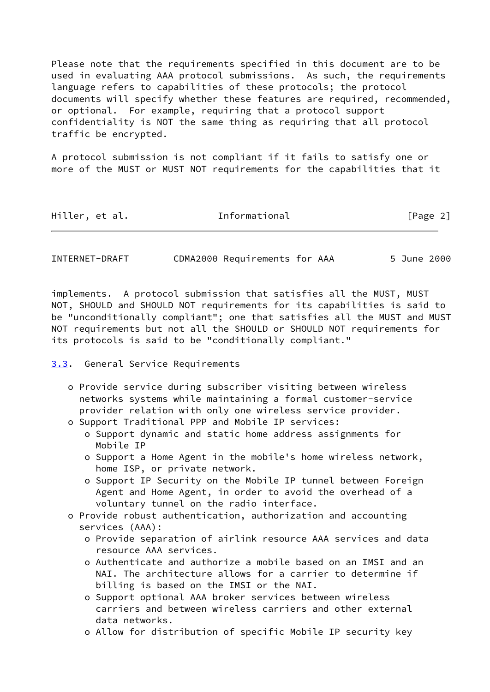Please note that the requirements specified in this document are to be used in evaluating AAA protocol submissions. As such, the requirements language refers to capabilities of these protocols; the protocol documents will specify whether these features are required, recommended, or optional. For example, requiring that a protocol support confidentiality is NOT the same thing as requiring that all protocol traffic be encrypted.

A protocol submission is not compliant if it fails to satisfy one or more of the MUST or MUST NOT requirements for the capabilities that it

| Hiller, et al. | Informational | [Page 2] |
|----------------|---------------|----------|
|                |               |          |

INTERNET-DRAFT CDMA2000 Requirements for AAA 5 June 2000

implements. A protocol submission that satisfies all the MUST, MUST NOT, SHOULD and SHOULD NOT requirements for its capabilities is said to be "unconditionally compliant"; one that satisfies all the MUST and MUST NOT requirements but not all the SHOULD or SHOULD NOT requirements for its protocols is said to be "conditionally compliant."

<span id="page-2-0"></span>[3.3](#page-2-0). General Service Requirements

- o Provide service during subscriber visiting between wireless networks systems while maintaining a formal customer-service provider relation with only one wireless service provider.
- o Support Traditional PPP and Mobile IP services:
	- o Support dynamic and static home address assignments for Mobile IP
	- o Support a Home Agent in the mobile's home wireless network, home ISP, or private network.
	- o Support IP Security on the Mobile IP tunnel between Foreign Agent and Home Agent, in order to avoid the overhead of a voluntary tunnel on the radio interface.
- o Provide robust authentication, authorization and accounting services (AAA):
	- o Provide separation of airlink resource AAA services and data resource AAA services.
	- o Authenticate and authorize a mobile based on an IMSI and an NAI. The architecture allows for a carrier to determine if billing is based on the IMSI or the NAI.
	- o Support optional AAA broker services between wireless carriers and between wireless carriers and other external data networks.
	- o Allow for distribution of specific Mobile IP security key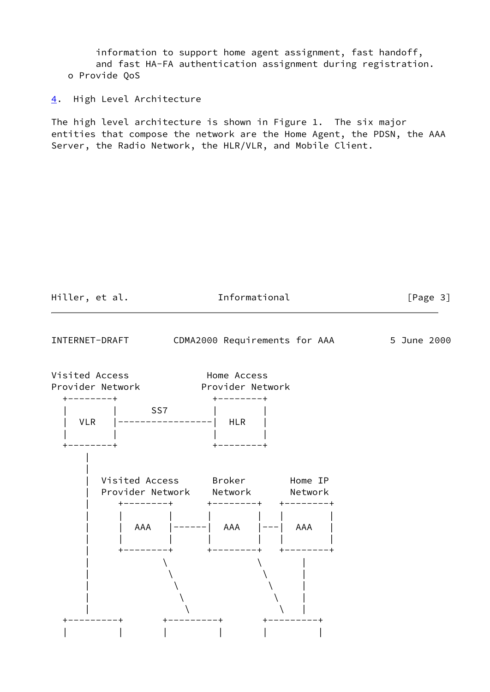information to support home agent assignment, fast handoff, and fast HA-FA authentication assignment during registration. o Provide QoS

<span id="page-3-0"></span>[4](#page-3-0). High Level Architecture

The high level architecture is shown in Figure 1. The six major entities that compose the network are the Home Agent, the PDSN, the AAA Server, the Radio Network, the HLR/VLR, and Mobile Client.

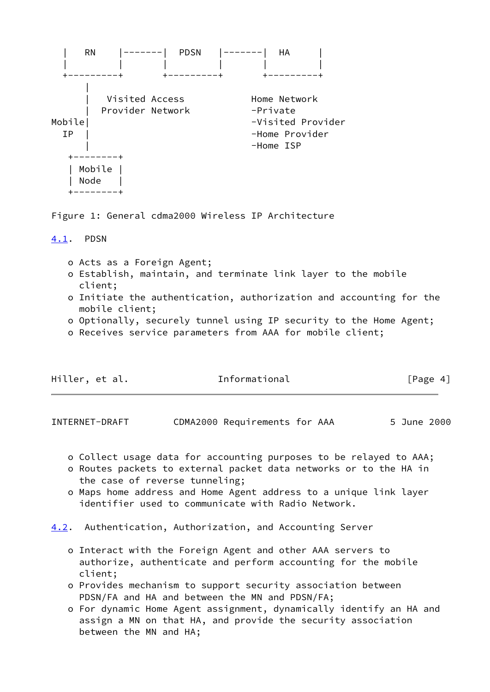

Figure 1: General cdma2000 Wireless IP Architecture

## <span id="page-4-0"></span>[4.1](#page-4-0). PDSN

- o Acts as a Foreign Agent;
- o Establish, maintain, and terminate link layer to the mobile client;
- o Initiate the authentication, authorization and accounting for the mobile client;
- o Optionally, securely tunnel using IP security to the Home Agent;
- o Receives service parameters from AAA for mobile client;

| Hiller, et al. | Informational | [Page 4] |
|----------------|---------------|----------|
|                |               |          |

INTERNET-DRAFT CDMA2000 Requirements for AAA 5 June 2000

- o Collect usage data for accounting purposes to be relayed to AAA;
- o Routes packets to external packet data networks or to the HA in the case of reverse tunneling;
- o Maps home address and Home Agent address to a unique link layer identifier used to communicate with Radio Network.
- <span id="page-4-1"></span>[4.2](#page-4-1). Authentication, Authorization, and Accounting Server
	- o Interact with the Foreign Agent and other AAA servers to authorize, authenticate and perform accounting for the mobile client;
	- o Provides mechanism to support security association between PDSN/FA and HA and between the MN and PDSN/FA;
	- o For dynamic Home Agent assignment, dynamically identify an HA and assign a MN on that HA, and provide the security association between the MN and HA;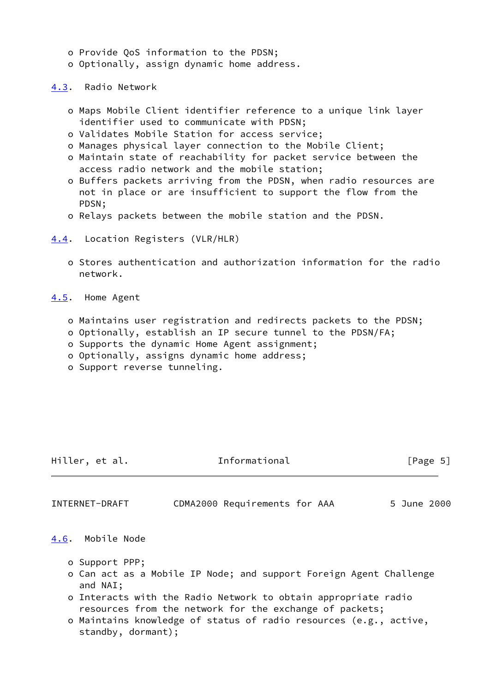- o Provide QoS information to the PDSN;
- o Optionally, assign dynamic home address.

<span id="page-5-0"></span>[4.3](#page-5-0). Radio Network

- o Maps Mobile Client identifier reference to a unique link layer identifier used to communicate with PDSN;
- o Validates Mobile Station for access service;
- o Manages physical layer connection to the Mobile Client;
- o Maintain state of reachability for packet service between the access radio network and the mobile station;
- o Buffers packets arriving from the PDSN, when radio resources are not in place or are insufficient to support the flow from the PDSN;
- o Relays packets between the mobile station and the PDSN.

# <span id="page-5-1"></span>[4.4](#page-5-1). Location Registers (VLR/HLR)

 o Stores authentication and authorization information for the radio network.

<span id="page-5-2"></span>[4.5](#page-5-2). Home Agent

- o Maintains user registration and redirects packets to the PDSN;
- o Optionally, establish an IP secure tunnel to the PDSN/FA;
- o Supports the dynamic Home Agent assignment;
- o Optionally, assigns dynamic home address;
- o Support reverse tunneling.

Hiller, et al. 1nformational [Page 5]

INTERNET-DRAFT CDMA2000 Requirements for AAA 5 June 2000

# <span id="page-5-3"></span>[4.6](#page-5-3). Mobile Node

- o Support PPP;
- o Can act as a Mobile IP Node; and support Foreign Agent Challenge and NAI;
- o Interacts with the Radio Network to obtain appropriate radio resources from the network for the exchange of packets;
- o Maintains knowledge of status of radio resources (e.g., active, standby, dormant);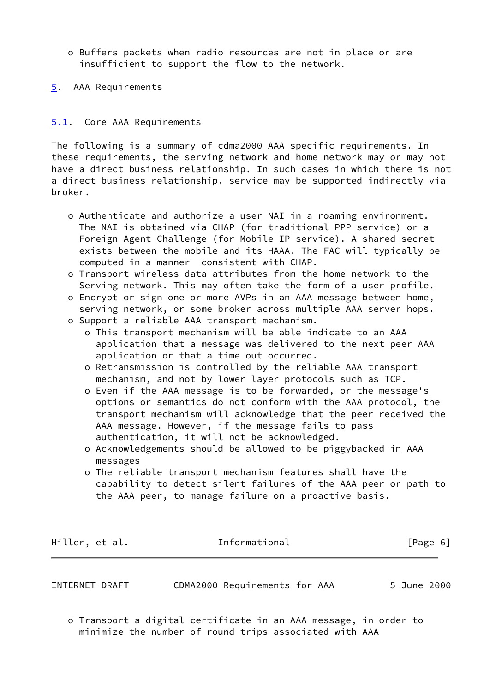- o Buffers packets when radio resources are not in place or are insufficient to support the flow to the network.
- [5](#page-0-0). AAA Requirements

# <span id="page-6-0"></span>[5.1](#page-6-0). Core AAA Requirements

The following is a summary of cdma2000 AAA specific requirements. In these requirements, the serving network and home network may or may not have a direct business relationship. In such cases in which there is not a direct business relationship, service may be supported indirectly via broker.

- o Authenticate and authorize a user NAI in a roaming environment. The NAI is obtained via CHAP (for traditional PPP service) or a Foreign Agent Challenge (for Mobile IP service). A shared secret exists between the mobile and its HAAA. The FAC will typically be computed in a manner consistent with CHAP.
- o Transport wireless data attributes from the home network to the Serving network. This may often take the form of a user profile.
- o Encrypt or sign one or more AVPs in an AAA message between home, serving network, or some broker across multiple AAA server hops.
- o Support a reliable AAA transport mechanism.
	- o This transport mechanism will be able indicate to an AAA application that a message was delivered to the next peer AAA application or that a time out occurred.
	- o Retransmission is controlled by the reliable AAA transport mechanism, and not by lower layer protocols such as TCP.
	- o Even if the AAA message is to be forwarded, or the message's options or semantics do not conform with the AAA protocol, the transport mechanism will acknowledge that the peer received the AAA message. However, if the message fails to pass authentication, it will not be acknowledged.
	- o Acknowledgements should be allowed to be piggybacked in AAA messages
	- o The reliable transport mechanism features shall have the capability to detect silent failures of the AAA peer or path to the AAA peer, to manage failure on a proactive basis.

Hiller, et al. **Informational** [Page 6]

INTERNET-DRAFT CDMA2000 Requirements for AAA 5 June 2000

 o Transport a digital certificate in an AAA message, in order to minimize the number of round trips associated with AAA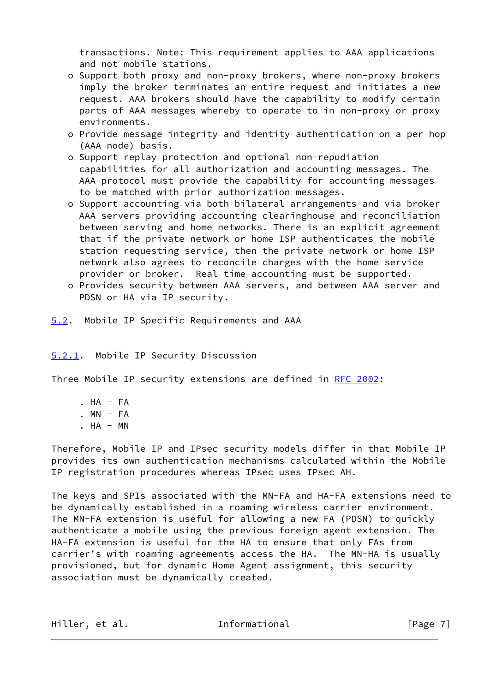transactions. Note: This requirement applies to AAA applications and not mobile stations.

- o Support both proxy and non-proxy brokers, where non-proxy brokers imply the broker terminates an entire request and initiates a new request. AAA brokers should have the capability to modify certain parts of AAA messages whereby to operate to in non-proxy or proxy environments.
- o Provide message integrity and identity authentication on a per hop (AAA node) basis.
- o Support replay protection and optional non-repudiation capabilities for all authorization and accounting messages. The AAA protocol must provide the capability for accounting messages to be matched with prior authorization messages.
- o Support accounting via both bilateral arrangements and via broker AAA servers providing accounting clearinghouse and reconciliation between serving and home networks. There is an explicit agreement that if the private network or home ISP authenticates the mobile station requesting service, then the private network or home ISP network also agrees to reconcile charges with the home service provider or broker. Real time accounting must be supported.
- o Provides security between AAA servers, and between AAA server and PDSN or HA via IP security.
- <span id="page-7-0"></span>[5.2](#page-7-0). Mobile IP Specific Requirements and AAA

# <span id="page-7-1"></span>[5.2.1](#page-7-1). Mobile IP Security Discussion

Three Mobile IP security extensions are defined in [RFC 2002](https://datatracker.ietf.org/doc/pdf/rfc2002):

 . HA - FA .  $MN - FA$ .  $HA - MN$ 

Therefore, Mobile IP and IPsec security models differ in that Mobile IP provides its own authentication mechanisms calculated within the Mobile IP registration procedures whereas IPsec uses IPsec AH.

The keys and SPIs associated with the MN-FA and HA-FA extensions need to be dynamically established in a roaming wireless carrier environment. The MN-FA extension is useful for allowing a new FA (PDSN) to quickly authenticate a mobile using the previous foreign agent extension. The HA-FA extension is useful for the HA to ensure that only FAs from carrier's with roaming agreements access the HA. The MN-HA is usually provisioned, but for dynamic Home Agent assignment, this security association must be dynamically created.

| Hiller, et al.<br>Informational | [Page 7] |
|---------------------------------|----------|
|---------------------------------|----------|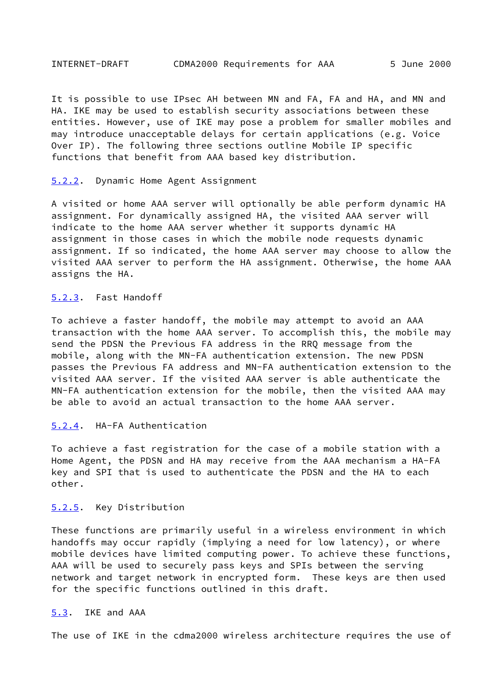It is possible to use IPsec AH between MN and FA, FA and HA, and MN and HA. IKE may be used to establish security associations between these entities. However, use of IKE may pose a problem for smaller mobiles and may introduce unacceptable delays for certain applications (e.g. Voice Over IP). The following three sections outline Mobile IP specific functions that benefit from AAA based key distribution.

#### <span id="page-8-0"></span>[5.2.2](#page-8-0). Dynamic Home Agent Assignment

A visited or home AAA server will optionally be able perform dynamic HA assignment. For dynamically assigned HA, the visited AAA server will indicate to the home AAA server whether it supports dynamic HA assignment in those cases in which the mobile node requests dynamic assignment. If so indicated, the home AAA server may choose to allow the visited AAA server to perform the HA assignment. Otherwise, the home AAA assigns the HA.

## <span id="page-8-1"></span>[5.2.3](#page-8-1). Fast Handoff

To achieve a faster handoff, the mobile may attempt to avoid an AAA transaction with the home AAA server. To accomplish this, the mobile may send the PDSN the Previous FA address in the RRQ message from the mobile, along with the MN-FA authentication extension. The new PDSN passes the Previous FA address and MN-FA authentication extension to the visited AAA server. If the visited AAA server is able authenticate the MN-FA authentication extension for the mobile, then the visited AAA may be able to avoid an actual transaction to the home AAA server.

## <span id="page-8-2"></span>[5.2.4](#page-8-2). HA-FA Authentication

To achieve a fast registration for the case of a mobile station with a Home Agent, the PDSN and HA may receive from the AAA mechanism a HA-FA key and SPI that is used to authenticate the PDSN and the HA to each other.

### <span id="page-8-3"></span>[5.2.5](#page-8-3). Key Distribution

These functions are primarily useful in a wireless environment in which handoffs may occur rapidly (implying a need for low latency), or where mobile devices have limited computing power. To achieve these functions, AAA will be used to securely pass keys and SPIs between the serving network and target network in encrypted form. These keys are then used for the specific functions outlined in this draft.

# <span id="page-8-4"></span>[5.3](#page-8-4). IKE and AAA

The use of IKE in the cdma2000 wireless architecture requires the use of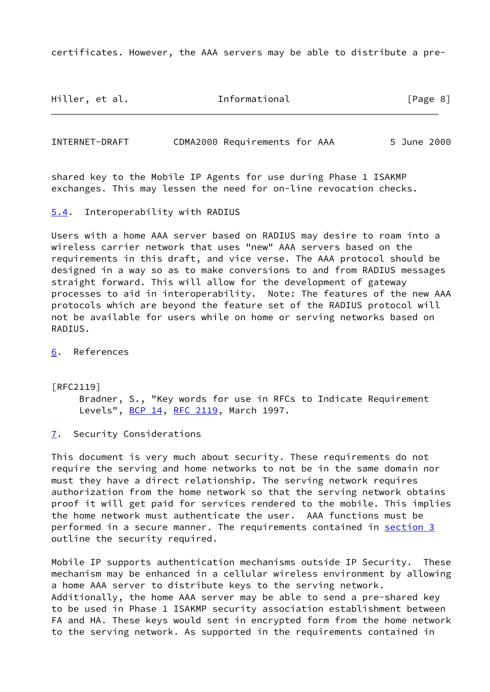certificates. However, the AAA servers may be able to distribute a pre-

Hiller, et al. Informational [Page 8]

INTERNET-DRAFT CDMA2000 Requirements for AAA 5 June 2000

shared key to the Mobile IP Agents for use during Phase 1 ISAKMP exchanges. This may lessen the need for on-line revocation checks.

<span id="page-9-0"></span>[5.4](#page-9-0). Interoperability with RADIUS

Users with a home AAA server based on RADIUS may desire to roam into a wireless carrier network that uses "new" AAA servers based on the requirements in this draft, and vice verse. The AAA protocol should be designed in a way so as to make conversions to and from RADIUS messages straight forward. This will allow for the development of gateway processes to aid in interoperability. Note: The features of the new AAA protocols which are beyond the feature set of the RADIUS protocol will not be available for users while on home or serving networks based on RADIUS.

<span id="page-9-1"></span>[6](#page-9-1). References

[RFC2119] Bradner, S., "Key words for use in RFCs to Indicate Requirement Levels", **[BCP 14](https://datatracker.ietf.org/doc/pdf/bcp14), RFC 2119**, March 1997.

<span id="page-9-2"></span>[7](#page-9-2). Security Considerations

This document is very much about security. These requirements do not require the serving and home networks to not be in the same domain nor must they have a direct relationship. The serving network requires authorization from the home network so that the serving network obtains proof it will get paid for services rendered to the mobile. This implies the home network must authenticate the user. AAA functions must be performed in a secure manner. The requirements contained in [section 3](#page-1-2) outline the security required.

Mobile IP supports authentication mechanisms outside IP Security. These mechanism may be enhanced in a cellular wireless environment by allowing a home AAA server to distribute keys to the serving network. Additionally, the home AAA server may be able to send a pre-shared key to be used in Phase 1 ISAKMP security association establishment between FA and HA. These keys would sent in encrypted form from the home network to the serving network. As supported in the requirements contained in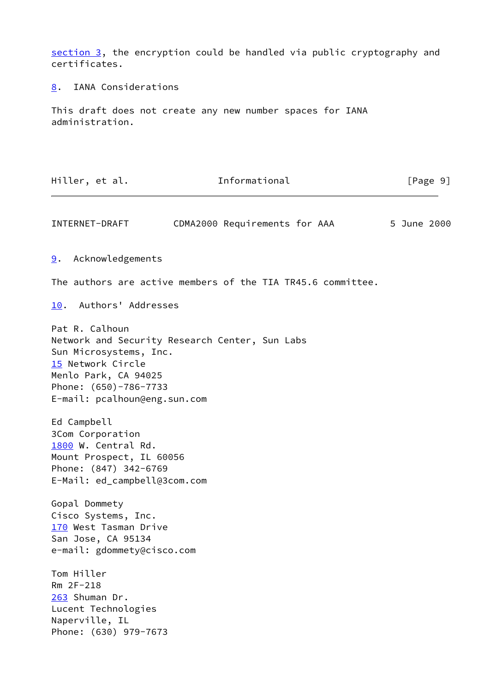[section 3](#page-1-2), the encryption could be handled via public cryptography and certificates.

<span id="page-10-0"></span>[8](#page-10-0). IANA Considerations

This draft does not create any new number spaces for IANA administration.

<span id="page-10-6"></span><span id="page-10-5"></span><span id="page-10-4"></span><span id="page-10-3"></span><span id="page-10-2"></span><span id="page-10-1"></span>Hiller, et al. The Informational The League 1 (Page 9) INTERNET-DRAFT CDMA2000 Requirements for AAA 5 June 2000 [9](#page-10-1). Acknowledgements The authors are active members of the TIA TR45.6 committee. [10.](#page-10-2) Authors' Addresses Pat R. Calhoun Network and Security Research Center, Sun Labs Sun Microsystems, Inc. [15](#page-10-3) Network Circle Menlo Park, CA 94025 Phone: (650)-786-7733 E-mail: pcalhoun@eng.sun.com Ed Campbell 3Com Corporation [1800](#page-10-4) W. Central Rd. Mount Prospect, IL 60056 Phone: (847) 342-6769 E-Mail: ed\_campbell@3com.com Gopal Dommety Cisco Systems, Inc. [170](#page-10-5) West Tasman Drive San Jose, CA 95134 e-mail: gdommety@cisco.com Tom Hiller Rm 2F-218 [263](#page-10-6) Shuman Dr. Lucent Technologies Naperville, IL Phone: (630) 979-7673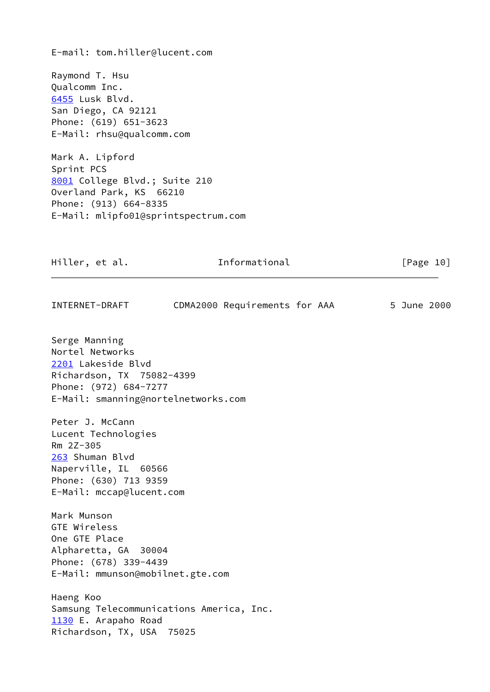E-mail: tom.hiller@lucent.com

<span id="page-11-0"></span>Raymond T. Hsu Qualcomm Inc. [6455](#page-11-0) Lusk Blvd. San Diego, CA 92121 Phone: (619) 651-3623 E-Mail: rhsu@qualcomm.com

<span id="page-11-1"></span>Mark A. Lipford Sprint PCS [8001](#page-11-1) College Blvd.; Suite 210 Overland Park, KS 66210 Phone: (913) 664-8335 E-Mail: mlipfo01@sprintspectrum.com

<span id="page-11-3"></span><span id="page-11-2"></span>

| Hiller, et al.                                                                                                                                      | Informational                 | [Page 10]   |
|-----------------------------------------------------------------------------------------------------------------------------------------------------|-------------------------------|-------------|
| INTERNET-DRAFT                                                                                                                                      | CDMA2000 Requirements for AAA | 5 June 2000 |
| Serge Manning<br>Nortel Networks<br>2201 Lakeside Blvd<br>Richardson, TX 75082-4399<br>Phone: (972) 684-7277<br>E-Mail: smanning@nortelnetworks.com |                               |             |
| Peter J. McCann<br>Lucent Technologies<br>Rm 2Z-305<br>263 Shuman Blvd<br>Naperville, IL 60566<br>Phone: (630) 713 9359<br>E-Mail: mccap@lucent.com |                               |             |
| Mark Munson<br>GTE Wireless<br>One GTE Place<br>Alpharetta, GA 30004<br>Phone: (678) 339-4439<br>E-Mail: mmunson@mobilnet.gte.com                   |                               |             |
| Haeng Koo<br>Samsung Telecommunications America, Inc.<br>1130 E. Arapaho Road<br>Richardson, TX, USA 75025                                          |                               |             |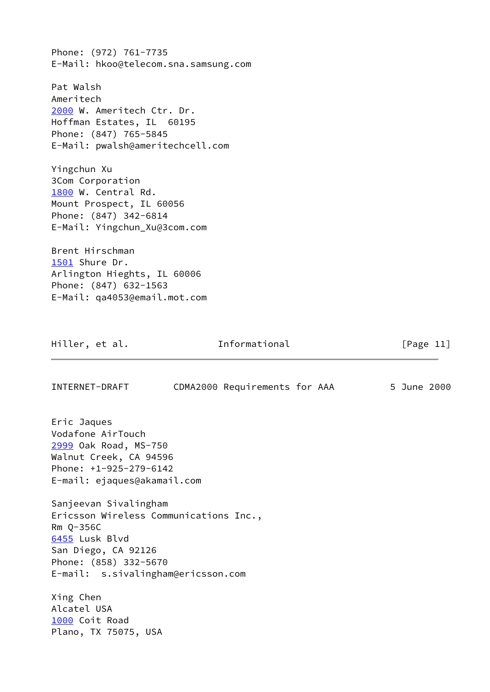Phone: (972) 761-7735 E-Mail: hkoo@telecom.sna.samsung.com

<span id="page-12-0"></span>Pat Walsh Ameritech [2000](#page-12-0) W. Ameritech Ctr. Dr. Hoffman Estates, IL 60195 Phone: (847) 765-5845 E-Mail: pwalsh@ameritechcell.com

Yingchun Xu 3Com Corporation [1800](#page-10-4) W. Central Rd. Mount Prospect, IL 60056 Phone: (847) 342-6814 E-Mail: Yingchun\_Xu@3com.com

<span id="page-12-1"></span>Brent Hirschman [1501](#page-12-1) Shure Dr. Arlington Hieghts, IL 60006 Phone: (847) 632-1563 E-Mail: qa4053@email.mot.com

Hiller, et al. 1nformational [Page 11]

<span id="page-12-3"></span><span id="page-12-2"></span>INTERNET-DRAFT CDMA2000 Requirements for AAA 5 June 2000 Eric Jaques Vodafone AirTouch [2999](#page-12-2) Oak Road, MS-750 Walnut Creek, CA 94596 Phone: +1-925-279-6142 E-mail: ejaques@akamail.com Sanjeevan Sivalingham Ericsson Wireless Communications Inc., Rm Q-356C [6455](#page-11-0) Lusk Blvd San Diego, CA 92126 Phone: (858) 332-5670 E-mail: s.sivalingham@ericsson.com Xing Chen Alcatel USA [1000](#page-12-3) Coit Road Plano, TX 75075, USA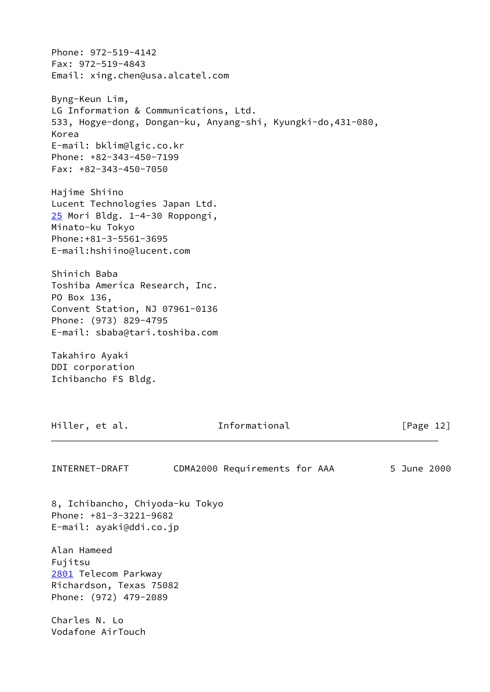Phone: 972-519-4142 Fax: 972-519-4843 Email: xing.chen@usa.alcatel.com Byng-Keun Lim, LG Information & Communications, Ltd. 533, Hogye-dong, Dongan-ku, Anyang-shi, Kyungki-do,431-080, Korea E-mail: bklim@lgic.co.kr Phone: +82-343-450-7199 Fax: +82-343-450-7050 Hajime Shiino Lucent Technologies Japan Ltd. [25](#page-13-0) Mori Bldg. 1-4-30 Roppongi, Minato-ku Tokyo Phone:+81-3-5561-3695 E-mail:hshiino@lucent.com Shinich Baba Toshiba America Research, Inc. PO Box 136, Convent Station, NJ 07961-0136 Phone: (973) 829-4795 E-mail: sbaba@tari.toshiba.com Takahiro Ayaki

<span id="page-13-0"></span>DDI corporation Ichibancho FS Bldg.

Hiller, et al. 1nformational [Page 12]

INTERNET-DRAFT CDMA2000 Requirements for AAA 5 June 2000

8, Ichibancho, Chiyoda-ku Tokyo Phone: +81-3-3221-9682 E-mail: ayaki@ddi.co.jp

<span id="page-13-1"></span>Alan Hameed Fujitsu [2801](#page-13-1) Telecom Parkway Richardson, Texas 75082 Phone: (972) 479-2089

Charles N. Lo Vodafone AirTouch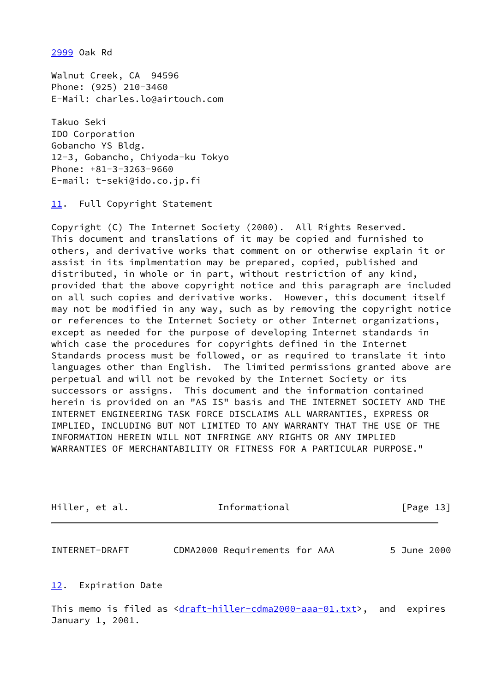[2999](#page-12-2) Oak Rd

Walnut Creek, CA 94596 Phone: (925) 210-3460 E-Mail: charles.lo@airtouch.com

Takuo Seki IDO Corporation Gobancho YS Bldg. 12-3, Gobancho, Chiyoda-ku Tokyo Phone: +81-3-3263-9660 E-mail: t-seki@ido.co.jp.fi

<span id="page-14-0"></span>[11.](#page-14-0) Full Copyright Statement

Copyright (C) The Internet Society (2000). All Rights Reserved. This document and translations of it may be copied and furnished to others, and derivative works that comment on or otherwise explain it or assist in its implmentation may be prepared, copied, published and distributed, in whole or in part, without restriction of any kind, provided that the above copyright notice and this paragraph are included on all such copies and derivative works. However, this document itself may not be modified in any way, such as by removing the copyright notice or references to the Internet Society or other Internet organizations, except as needed for the purpose of developing Internet standards in which case the procedures for copyrights defined in the Internet Standards process must be followed, or as required to translate it into languages other than English. The limited permissions granted above are perpetual and will not be revoked by the Internet Society or its successors or assigns. This document and the information contained herein is provided on an "AS IS" basis and THE INTERNET SOCIETY AND THE INTERNET ENGINEERING TASK FORCE DISCLAIMS ALL WARRANTIES, EXPRESS OR IMPLIED, INCLUDING BUT NOT LIMITED TO ANY WARRANTY THAT THE USE OF THE INFORMATION HEREIN WILL NOT INFRINGE ANY RIGHTS OR ANY IMPLIED WARRANTIES OF MERCHANTABILITY OR FITNESS FOR A PARTICULAR PURPOSE."

| Hiller, et al. | Informational | [Page 13] |  |
|----------------|---------------|-----------|--|
|                |               |           |  |

INTERNET-DRAFT CDMA2000 Requirements for AAA 5 June 2000

### <span id="page-14-1"></span>[12.](#page-14-1) Expiration Date

This memo is filed as  $\frac{draff-hiller-cdma2000-aaa-01.txt}{$ , and expires January 1, 2001.